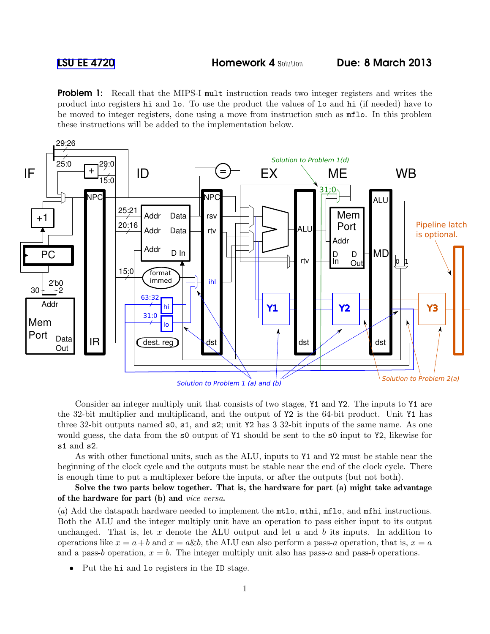**Problem 1:** Recall that the MIPS-I mult instruction reads two integer registers and writes the product into registers hi and lo. To use the product the values of lo and hi (if needed) have to be moved to integer registers, done using a move from instruction such as mflo. In this problem these instructions will be added to the implementation below.



Consider an integer multiply unit that consists of two stages, Y1 and Y2. The inputs to Y1 are the 32-bit multiplier and multiplicand, and the output of Y2 is the 64-bit product. Unit Y1 has three 32-bit outputs named s0, s1, and s2; unit Y2 has 3 32-bit inputs of the same name. As one would guess, the data from the s0 output of Y1 should be sent to the s0 input to Y2, likewise for s1 and s2.

As with other functional units, such as the ALU, inputs to Y1 and Y2 must be stable near the beginning of the clock cycle and the outputs must be stable near the end of the clock cycle. There is enough time to put a multiplexer before the inputs, or after the outputs (but not both).

Solve the two parts below together. That is, the hardware for part (a) might take advantage of the hardware for part (b) and *vice versa*.

(*a*) Add the datapath hardware needed to implement the mtlo, mthi, mflo, and mfhi instructions. Both the ALU and the integer multiply unit have an operation to pass either input to its output unchanged. That is, let x denote the ALU output and let  $a$  and  $b$  its inputs. In addition to operations like  $x = a + b$  and  $x = a \& b$ , the ALU can also perform a pass-a operation, that is,  $x = a$ and a pass-b operation,  $x = b$ . The integer multiply unit also has pass-a and pass-b operations.

• Put the hi and lo registers in the ID stage.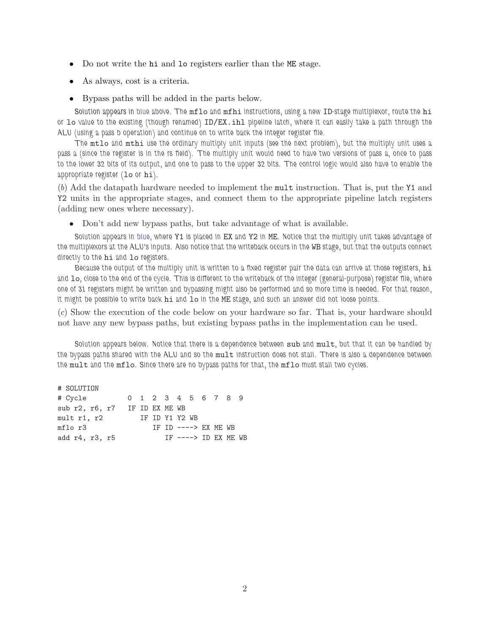- Do not write the hi and lo registers earlier than the ME stage.
- As always, cost is a criteria.
- Bypass paths will be added in the parts below.

Solution appears in blue above. The mflo and mfhi instructions, using a new ID-stage multiplexor, route the hi or lo value to the existing (though renamed) ID/EX.ihl pipeline latch, where it can easily take a path through the ALU (using a pass b operation) and continue on to write back the integer register file.

The mtlo and mthi use the ordinary multiply unit inputs (see the next problem), but the multiply unit uses a pass a (since the register is in the rs field). The multiply unit would need to have two versions of pass a, once to pass to the lower 32 bits of its output, and one to pass to the upper 32 bits. The control logic would also have to enable the appropriate register (lo or hi).

(*b*) Add the datapath hardware needed to implement the mult instruction. That is, put the Y1 and Y2 units in the appropriate stages, and connect them to the appropriate pipeline latch registers (adding new ones where necessary).

• Don't add new bypass paths, but take advantage of what is available.

Solution appears in blue, where Y1 is placed in EX and Y2 in ME. Notice that the multiply unit takes advantage of the multiplexors at the ALU's inputs. Also notice that the writeback occurs in the WB stage, but that the outputs connect directly to the hi and lo registers.

Because the output of the multiply unit is written to a fixed register pair the data can arrive at those registers, hi and lo, close to the end of the cycle. This is different to the writeback of the integer (general-purpose) register file, where one of 31 registers might be written and bypassing might also be performed and so more time is needed. For that reason, it might be possible to write back hi and lo in the ME stage, and such an answer did not loose points.

(*c*) Show the execution of the code below on your hardware so far. That is, your hardware should not have any new bypass paths, but existing bypass paths in the implementation can be used.

Solution appears below. Notice that there is a dependence between sub and mult, but that it can be handled by the bypass paths shared with the ALU and so the mult instruction does not stall. There is also a dependence between the mult and the mflo. Since there are no bypass paths for that, the mflo must stall two cycles.

# SOLUTION # Cycle 0 1 2 3 4 5 6 7 8 9 sub r2, r6, r7 IF ID EX ME WB mult r1, r2 IF ID Y1 Y2 WB mflo r3 IF ID ----> EX ME WB add r4, r3, r5 IF ----> ID EX ME WB